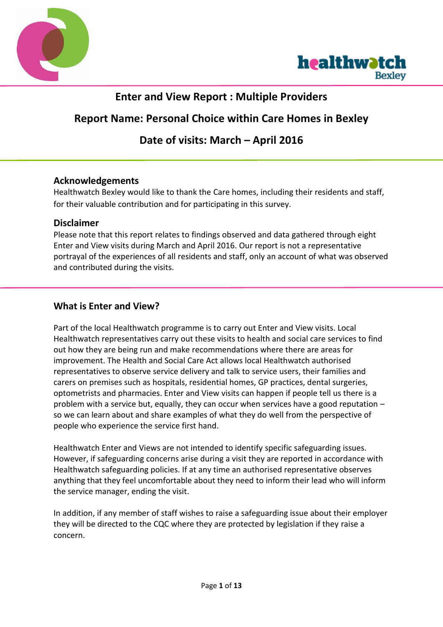



# **Enter and View Report : Multiple Providers**

# **Report Name: Personal Choice within Care Homes in Bexley**

# **Date of visits: March – April 2016**

### **Acknowledgements**

Healthwatch Bexley would like to thank the Care homes, including their residents and staff, for their valuable contribution and for participating in this survey.

### **Disclaimer**

Please note that this report relates to findings observed and data gathered through eight Enter and View visits during March and April 2016. Our report is not a representative portrayal of the experiences of all residents and staff, only an account of what was observed and contributed during the visits.

### **What is Enter and View?**

Part of the local Healthwatch programme is to carry out Enter and View visits. Local Healthwatch representatives carry out these visits to health and social care services to find out how they are being run and make recommendations where there are areas for improvement. The Health and Social Care Act allows local Healthwatch authorised representatives to observe service delivery and talk to service users, their families and carers on premises such as hospitals, residential homes, GP practices, dental surgeries, optometrists and pharmacies. Enter and View visits can happen if people tell us there is a problem with a service but, equally, they can occur when services have a good reputation – so we can learn about and share examples of what they do well from the perspective of people who experience the service first hand.

Healthwatch Enter and Views are not intended to identify specific safeguarding issues. However, if safeguarding concerns arise during a visit they are reported in accordance with Healthwatch safeguarding policies. If at any time an authorised representative observes anything that they feel uncomfortable about they need to inform their lead who will inform the service manager, ending the visit.

In addition, if any member of staff wishes to raise a safeguarding issue about their employer they will be directed to the CQC where they are protected by legislation if they raise a concern.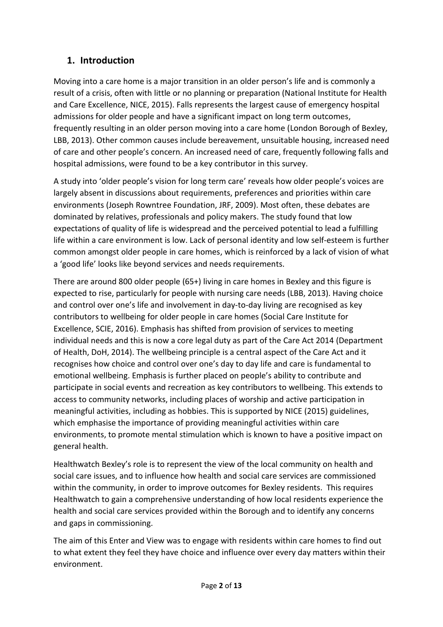## **1. Introduction**

Moving into a care home is a major transition in an older person's life and is commonly a result of a crisis, often with little or no planning or preparation (National Institute for Health and Care Excellence, NICE, 2015). Falls represents the largest cause of emergency hospital admissions for older people and have a significant impact on long term outcomes, frequently resulting in an older person moving into a care home (London Borough of Bexley, LBB, 2013). Other common causes include bereavement, unsuitable housing, increased need of care and other people's concern. An increased need of care, frequently following falls and hospital admissions, were found to be a key contributor in this survey.

A study into 'older people's vision for long term care' reveals how older people's voices are largely absent in discussions about requirements, preferences and priorities within care environments (Joseph Rowntree Foundation, JRF, 2009). Most often, these debates are dominated by relatives, professionals and policy makers. The study found that low expectations of quality of life is widespread and the perceived potential to lead a fulfilling life within a care environment is low. Lack of personal identity and low self-esteem is further common amongst older people in care homes, which is reinforced by a lack of vision of what a 'good life' looks like beyond services and needs requirements.

There are around 800 older people (65+) living in care homes in Bexley and this figure is expected to rise, particularly for people with nursing care needs (LBB, 2013). Having choice and control over one's life and involvement in day-to-day living are recognised as key contributors to wellbeing for older people in care homes (Social Care Institute for Excellence, SCIE, 2016). Emphasis has shifted from provision of services to meeting individual needs and this is now a core legal duty as part of the Care Act 2014 (Department of Health, DoH, 2014). The wellbeing principle is a central aspect of the Care Act and it recognises how choice and control over one's day to day life and care is fundamental to emotional wellbeing. Emphasis is further placed on people's ability to contribute and participate in social events and recreation as key contributors to wellbeing. This extends to access to community networks, including places of worship and active participation in meaningful activities, including as hobbies. This is supported by NICE (2015) guidelines, which emphasise the importance of providing meaningful activities within care environments, to promote mental stimulation which is known to have a positive impact on general health.

Healthwatch Bexley's role is to represent the view of the local community on health and social care issues, and to influence how health and social care services are commissioned within the community, in order to improve outcomes for Bexley residents. This requires Healthwatch to gain a comprehensive understanding of how local residents experience the health and social care services provided within the Borough and to identify any concerns and gaps in commissioning.

The aim of this Enter and View was to engage with residents within care homes to find out to what extent they feel they have choice and influence over every day matters within their environment.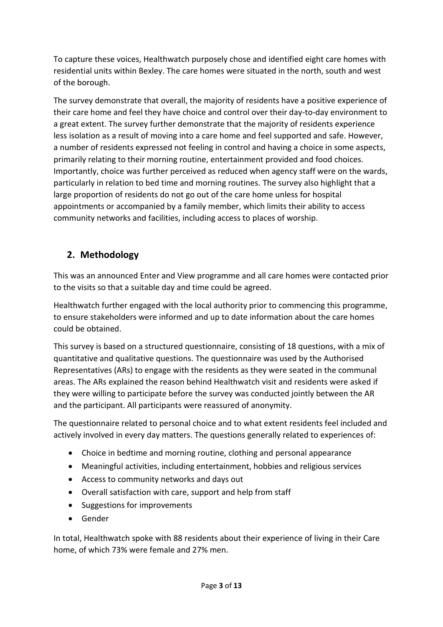To capture these voices, Healthwatch purposely chose and identified eight care homes with residential units within Bexley. The care homes were situated in the north, south and west of the borough.

The survey demonstrate that overall, the majority of residents have a positive experience of their care home and feel they have choice and control over their day-to-day environment to a great extent. The survey further demonstrate that the majority of residents experience less isolation as a result of moving into a care home and feel supported and safe. However, a number of residents expressed not feeling in control and having a choice in some aspects, primarily relating to their morning routine, entertainment provided and food choices. Importantly, choice was further perceived as reduced when agency staff were on the wards, particularly in relation to bed time and morning routines. The survey also highlight that a large proportion of residents do not go out of the care home unless for hospital appointments or accompanied by a family member, which limits their ability to access community networks and facilities, including access to places of worship.

## **2. Methodology**

This was an announced Enter and View programme and all care homes were contacted prior to the visits so that a suitable day and time could be agreed.

Healthwatch further engaged with the local authority prior to commencing this programme, to ensure stakeholders were informed and up to date information about the care homes could be obtained.

This survey is based on a structured questionnaire, consisting of 18 questions, with a mix of quantitative and qualitative questions. The questionnaire was used by the Authorised Representatives (ARs) to engage with the residents as they were seated in the communal areas. The ARs explained the reason behind Healthwatch visit and residents were asked if they were willing to participate before the survey was conducted jointly between the AR and the participant. All participants were reassured of anonymity.

The questionnaire related to personal choice and to what extent residents feel included and actively involved in every day matters. The questions generally related to experiences of:

- Choice in bedtime and morning routine, clothing and personal appearance
- Meaningful activities, including entertainment, hobbies and religious services
- Access to community networks and days out
- Overall satisfaction with care, support and help from staff
- Suggestions for improvements
- Gender

In total, Healthwatch spoke with 88 residents about their experience of living in their Care home, of which 73% were female and 27% men.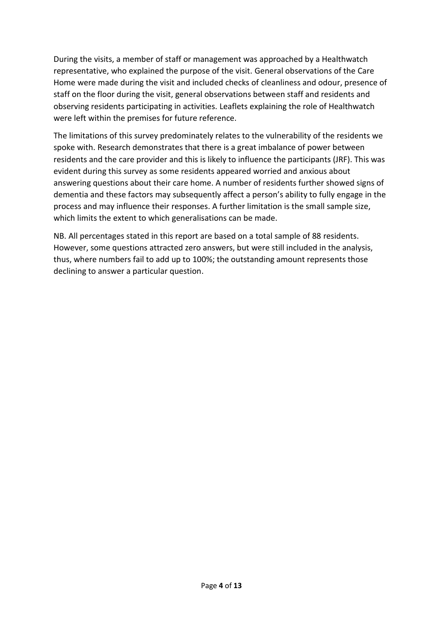During the visits, a member of staff or management was approached by a Healthwatch representative, who explained the purpose of the visit. General observations of the Care Home were made during the visit and included checks of cleanliness and odour, presence of staff on the floor during the visit, general observations between staff and residents and observing residents participating in activities. Leaflets explaining the role of Healthwatch were left within the premises for future reference.

The limitations of this survey predominately relates to the vulnerability of the residents we spoke with. Research demonstrates that there is a great imbalance of power between residents and the care provider and this is likely to influence the participants (JRF). This was evident during this survey as some residents appeared worried and anxious about answering questions about their care home. A number of residents further showed signs of dementia and these factors may subsequently affect a person's ability to fully engage in the process and may influence their responses. A further limitation is the small sample size, which limits the extent to which generalisations can be made.

NB. All percentages stated in this report are based on a total sample of 88 residents. However, some questions attracted zero answers, but were still included in the analysis, thus, where numbers fail to add up to 100%; the outstanding amount represents those declining to answer a particular question.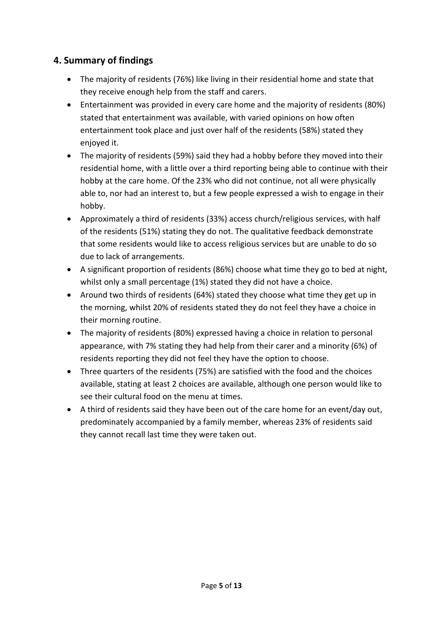### **4. Summary of findings**

- The majority of residents (76%) like living in their residential home and state that they receive enough help from the staff and carers.
- Entertainment was provided in every care home and the majority of residents (80%) stated that entertainment was available, with varied opinions on how often entertainment took place and just over half of the residents (58%) stated they enjoyed it.
- The majority of residents (59%) said they had a hobby before they moved into their residential home, with a little over a third reporting being able to continue with their hobby at the care home. Of the 23% who did not continue, not all were physically able to, nor had an interest to, but a few people expressed a wish to engage in their hobby.
- Approximately a third of residents (33%) access church/religious services, with half of the residents (51%) stating they do not. The qualitative feedback demonstrate that some residents would like to access religious services but are unable to do so due to lack of arrangements.
- A significant proportion of residents (86%) choose what time they go to bed at night, whilst only a small percentage (1%) stated they did not have a choice.
- Around two thirds of residents (64%) stated they choose what time they get up in the morning, whilst 20% of residents stated they do not feel they have a choice in their morning routine.
- The majority of residents (80%) expressed having a choice in relation to personal appearance, with 7% stating they had help from their carer and a minority (6%) of residents reporting they did not feel they have the option to choose.
- Three quarters of the residents (75%) are satisfied with the food and the choices available, stating at least 2 choices are available, although one person would like to see their cultural food on the menu at times.
- A third of residents said they have been out of the care home for an event/day out, predominately accompanied by a family member, whereas 23% of residents said they cannot recall last time they were taken out.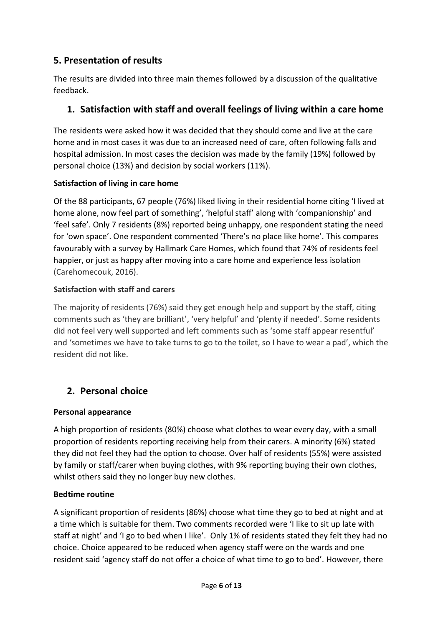## **5. Presentation of results**

The results are divided into three main themes followed by a discussion of the qualitative feedback.

## **1. Satisfaction with staff and overall feelings of living within a care home**

The residents were asked how it was decided that they should come and live at the care home and in most cases it was due to an increased need of care, often following falls and hospital admission. In most cases the decision was made by the family (19%) followed by personal choice (13%) and decision by social workers (11%).

### **Satisfaction of living in care home**

Of the 88 participants, 67 people (76%) liked living in their residential home citing 'I lived at home alone, now feel part of something', 'helpful staff' along with 'companionship' and 'feel safe'. Only 7 residents (8%) reported being unhappy, one respondent stating the need for 'own space'. One respondent commented 'There's no place like home'. This compares favourably with a survey by Hallmark Care Homes, which found that 74% of residents feel happier, or just as happy after moving into a care home and experience less isolation (Carehomecouk, 2016).

### **Satisfaction with staff and carers**

The majority of residents (76%) said they get enough help and support by the staff, citing comments such as 'they are brilliant', 'very helpful' and 'plenty if needed'. Some residents did not feel very well supported and left comments such as 'some staff appear resentful' and 'sometimes we have to take turns to go to the toilet, so I have to wear a pad', which the resident did not like.

## **2. Personal choice**

### **Personal appearance**

A high proportion of residents (80%) choose what clothes to wear every day, with a small proportion of residents reporting receiving help from their carers. A minority (6%) stated they did not feel they had the option to choose. Over half of residents (55%) were assisted by family or staff/carer when buying clothes, with 9% reporting buying their own clothes, whilst others said they no longer buy new clothes.

### **Bedtime routine**

A significant proportion of residents (86%) choose what time they go to bed at night and at a time which is suitable for them. Two comments recorded were 'I like to sit up late with staff at night' and 'I go to bed when I like'. Only 1% of residents stated they felt they had no choice. Choice appeared to be reduced when agency staff were on the wards and one resident said 'agency staff do not offer a choice of what time to go to bed'. However, there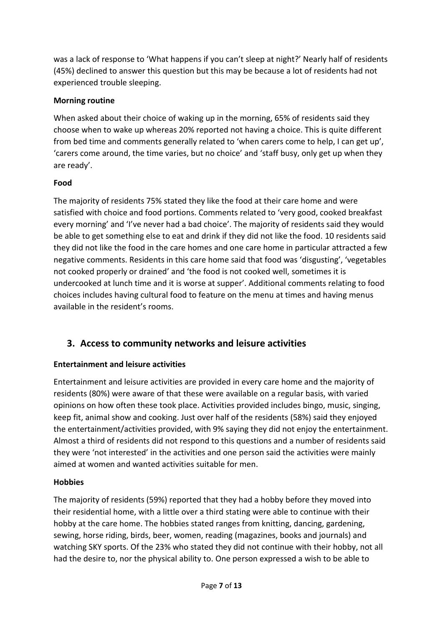was a lack of response to 'What happens if you can't sleep at night?' Nearly half of residents (45%) declined to answer this question but this may be because a lot of residents had not experienced trouble sleeping.

### **Morning routine**

When asked about their choice of waking up in the morning, 65% of residents said they choose when to wake up whereas 20% reported not having a choice. This is quite different from bed time and comments generally related to 'when carers come to help, I can get up', 'carers come around, the time varies, but no choice' and 'staff busy, only get up when they are ready'.

### **Food**

The majority of residents 75% stated they like the food at their care home and were satisfied with choice and food portions. Comments related to 'very good, cooked breakfast every morning' and 'I've never had a bad choice'. The majority of residents said they would be able to get something else to eat and drink if they did not like the food. 10 residents said they did not like the food in the care homes and one care home in particular attracted a few negative comments. Residents in this care home said that food was 'disgusting', 'vegetables not cooked properly or drained' and 'the food is not cooked well, sometimes it is undercooked at lunch time and it is worse at supper'. Additional comments relating to food choices includes having cultural food to feature on the menu at times and having menus available in the resident's rooms.

## **3. Access to community networks and leisure activities**

### **Entertainment and leisure activities**

Entertainment and leisure activities are provided in every care home and the majority of residents (80%) were aware of that these were available on a regular basis, with varied opinions on how often these took place. Activities provided includes bingo, music, singing, keep fit, animal show and cooking. Just over half of the residents (58%) said they enjoyed the entertainment/activities provided, with 9% saying they did not enjoy the entertainment. Almost a third of residents did not respond to this questions and a number of residents said they were 'not interested' in the activities and one person said the activities were mainly aimed at women and wanted activities suitable for men.

### **Hobbies**

The majority of residents (59%) reported that they had a hobby before they moved into their residential home, with a little over a third stating were able to continue with their hobby at the care home. The hobbies stated ranges from knitting, dancing, gardening, sewing, horse riding, birds, beer, women, reading (magazines, books and journals) and watching SKY sports. Of the 23% who stated they did not continue with their hobby, not all had the desire to, nor the physical ability to. One person expressed a wish to be able to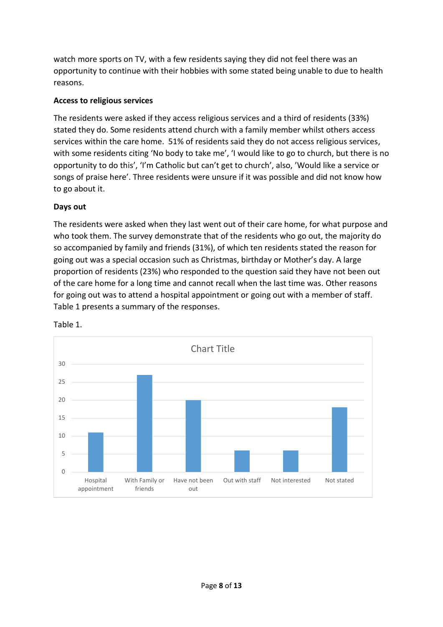watch more sports on TV, with a few residents saying they did not feel there was an opportunity to continue with their hobbies with some stated being unable to due to health reasons.

#### **Access to religious services**

The residents were asked if they access religious services and a third of residents (33%) stated they do. Some residents attend church with a family member whilst others access services within the care home. 51% of residents said they do not access religious services, with some residents citing 'No body to take me', 'I would like to go to church, but there is no opportunity to do this', 'I'm Catholic but can't get to church', also, 'Would like a service or songs of praise here'. Three residents were unsure if it was possible and did not know how to go about it.

#### **Days out**

The residents were asked when they last went out of their care home, for what purpose and who took them. The survey demonstrate that of the residents who go out, the majority do so accompanied by family and friends (31%), of which ten residents stated the reason for going out was a special occasion such as Christmas, birthday or Mother's day. A large proportion of residents (23%) who responded to the question said they have not been out of the care home for a long time and cannot recall when the last time was. Other reasons for going out was to attend a hospital appointment or going out with a member of staff. Table 1 presents a summary of the responses.



Table 1.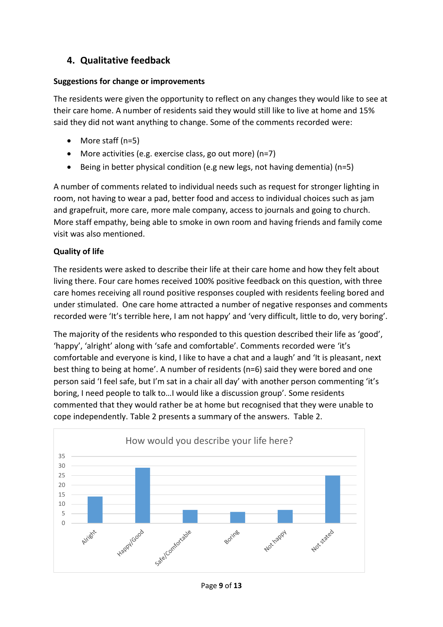## **4. Qualitative feedback**

#### **Suggestions for change or improvements**

The residents were given the opportunity to reflect on any changes they would like to see at their care home. A number of residents said they would still like to live at home and 15% said they did not want anything to change. Some of the comments recorded were:

- More staff (n=5)
- More activities (e.g. exercise class, go out more) (n=7)
- Being in better physical condition (e.g new legs, not having dementia) (n=5)

A number of comments related to individual needs such as request for stronger lighting in room, not having to wear a pad, better food and access to individual choices such as jam and grapefruit, more care, more male company, access to journals and going to church. More staff empathy, being able to smoke in own room and having friends and family come visit was also mentioned.

### **Quality of life**

The residents were asked to describe their life at their care home and how they felt about living there. Four care homes received 100% positive feedback on this question, with three care homes receiving all round positive responses coupled with residents feeling bored and under stimulated. One care home attracted a number of negative responses and comments recorded were 'It's terrible here, I am not happy' and 'very difficult, little to do, very boring'.

The majority of the residents who responded to this question described their life as 'good', 'happy', 'alright' along with 'safe and comfortable'. Comments recorded were 'it's comfortable and everyone is kind, I like to have a chat and a laugh' and 'It is pleasant, next best thing to being at home'. A number of residents (n=6) said they were bored and one person said 'I feel safe, but I'm sat in a chair all day' with another person commenting 'it's boring, I need people to talk to…I would like a discussion group'. Some residents commented that they would rather be at home but recognised that they were unable to cope independently. Table 2 presents a summary of the answers. Table 2.



Page **9** of **13**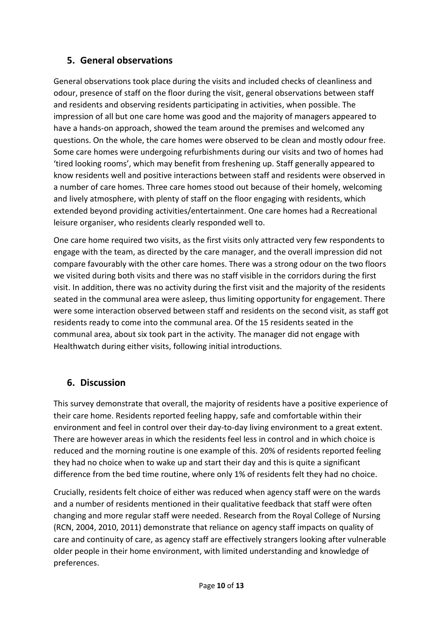### **5. General observations**

General observations took place during the visits and included checks of cleanliness and odour, presence of staff on the floor during the visit, general observations between staff and residents and observing residents participating in activities, when possible. The impression of all but one care home was good and the majority of managers appeared to have a hands-on approach, showed the team around the premises and welcomed any questions. On the whole, the care homes were observed to be clean and mostly odour free. Some care homes were undergoing refurbishments during our visits and two of homes had 'tired looking rooms', which may benefit from freshening up. Staff generally appeared to know residents well and positive interactions between staff and residents were observed in a number of care homes. Three care homes stood out because of their homely, welcoming and lively atmosphere, with plenty of staff on the floor engaging with residents, which extended beyond providing activities/entertainment. One care homes had a Recreational leisure organiser, who residents clearly responded well to.

One care home required two visits, as the first visits only attracted very few respondents to engage with the team, as directed by the care manager, and the overall impression did not compare favourably with the other care homes. There was a strong odour on the two floors we visited during both visits and there was no staff visible in the corridors during the first visit. In addition, there was no activity during the first visit and the majority of the residents seated in the communal area were asleep, thus limiting opportunity for engagement. There were some interaction observed between staff and residents on the second visit, as staff got residents ready to come into the communal area. Of the 15 residents seated in the communal area, about six took part in the activity. The manager did not engage with Healthwatch during either visits, following initial introductions.

### **6. Discussion**

This survey demonstrate that overall, the majority of residents have a positive experience of their care home. Residents reported feeling happy, safe and comfortable within their environment and feel in control over their day-to-day living environment to a great extent. There are however areas in which the residents feel less in control and in which choice is reduced and the morning routine is one example of this. 20% of residents reported feeling they had no choice when to wake up and start their day and this is quite a significant difference from the bed time routine, where only 1% of residents felt they had no choice.

Crucially, residents felt choice of either was reduced when agency staff were on the wards and a number of residents mentioned in their qualitative feedback that staff were often changing and more regular staff were needed. Research from the Royal College of Nursing (RCN, 2004, 2010, 2011) demonstrate that reliance on agency staff impacts on quality of care and continuity of care, as agency staff are effectively strangers looking after vulnerable older people in their home environment, with limited understanding and knowledge of preferences.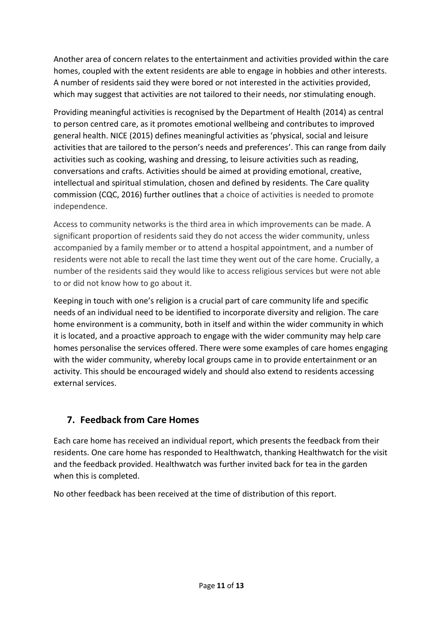Another area of concern relates to the entertainment and activities provided within the care homes, coupled with the extent residents are able to engage in hobbies and other interests. A number of residents said they were bored or not interested in the activities provided, which may suggest that activities are not tailored to their needs, nor stimulating enough.

Providing meaningful activities is recognised by the Department of Health (2014) as central to person centred care, as it promotes emotional wellbeing and contributes to improved general health. NICE (2015) defines meaningful activities as 'physical, social and leisure activities that are tailored to the person's needs and preferences'. This can range from daily activities such as cooking, washing and dressing, to leisure activities such as reading, conversations and crafts. Activities should be aimed at providing emotional, creative, intellectual and spiritual stimulation, chosen and defined by residents. The Care quality commission (CQC, 2016) further outlines that a choice of activities is needed to promote independence.

Access to community networks is the third area in which improvements can be made. A significant proportion of residents said they do not access the wider community, unless accompanied by a family member or to attend a hospital appointment, and a number of residents were not able to recall the last time they went out of the care home. Crucially, a number of the residents said they would like to access religious services but were not able to or did not know how to go about it.

Keeping in touch with one's religion is a crucial part of care community life and specific needs of an individual need to be identified to incorporate diversity and religion. The care home environment is a community, both in itself and within the wider community in which it is located, and a proactive approach to engage with the wider community may help care homes personalise the services offered. There were some examples of care homes engaging with the wider community, whereby local groups came in to provide entertainment or an activity. This should be encouraged widely and should also extend to residents accessing external services.

## **7. Feedback from Care Homes**

Each care home has received an individual report, which presents the feedback from their residents. One care home has responded to Healthwatch, thanking Healthwatch for the visit and the feedback provided. Healthwatch was further invited back for tea in the garden when this is completed.

No other feedback has been received at the time of distribution of this report.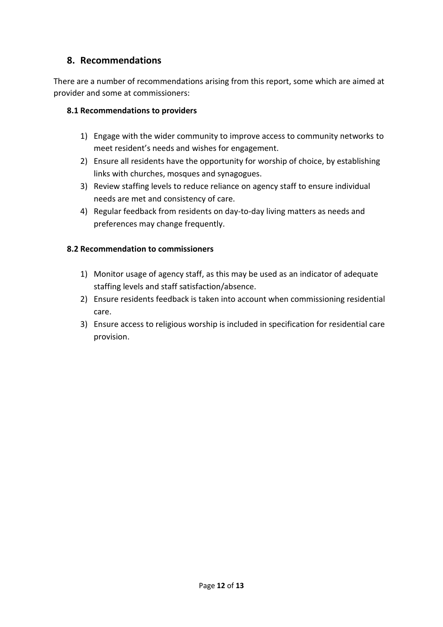### **8. Recommendations**

There are a number of recommendations arising from this report, some which are aimed at provider and some at commissioners:

#### **8.1 Recommendations to providers**

- 1) Engage with the wider community to improve access to community networks to meet resident's needs and wishes for engagement.
- 2) Ensure all residents have the opportunity for worship of choice, by establishing links with churches, mosques and synagogues.
- 3) Review staffing levels to reduce reliance on agency staff to ensure individual needs are met and consistency of care.
- 4) Regular feedback from residents on day-to-day living matters as needs and preferences may change frequently.

#### **8.2 Recommendation to commissioners**

- 1) Monitor usage of agency staff, as this may be used as an indicator of adequate staffing levels and staff satisfaction/absence.
- 2) Ensure residents feedback is taken into account when commissioning residential care.
- 3) Ensure access to religious worship is included in specification for residential care provision.